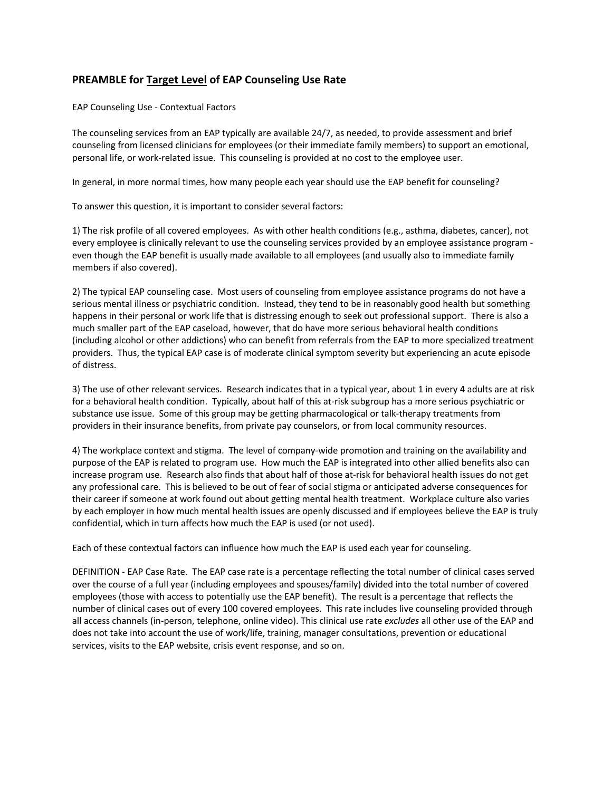## **PREAMBLE for Target Level of EAP Counseling Use Rate**

EAP Counseling Use - Contextual Factors

The counseling services from an EAP typically are available 24/7, as needed, to provide assessment and brief counseling from licensed clinicians for employees (or their immediate family members) to support an emotional, personal life, or work-related issue. This counseling is provided at no cost to the employee user.

In general, in more normal times, how many people each year should use the EAP benefit for counseling?

To answer this question, it is important to consider several factors:

1) The risk profile of all covered employees. As with other health conditions (e.g., asthma, diabetes, cancer), not every employee is clinically relevant to use the counseling services provided by an employee assistance program even though the EAP benefit is usually made available to all employees (and usually also to immediate family members if also covered).

2) The typical EAP counseling case. Most users of counseling from employee assistance programs do not have a serious mental illness or psychiatric condition. Instead, they tend to be in reasonably good health but something happens in their personal or work life that is distressing enough to seek out professional support. There is also a much smaller part of the EAP caseload, however, that do have more serious behavioral health conditions (including alcohol or other addictions) who can benefit from referrals from the EAP to more specialized treatment providers. Thus, the typical EAP case is of moderate clinical symptom severity but experiencing an acute episode of distress.

3) The use of other relevant services. Research indicates that in a typical year, about 1 in every 4 adults are at risk for a behavioral health condition. Typically, about half of this at-risk subgroup has a more serious psychiatric or substance use issue. Some of this group may be getting pharmacological or talk-therapy treatments from providers in their insurance benefits, from private pay counselors, or from local community resources.

4) The workplace context and stigma. The level of company-wide promotion and training on the availability and purpose of the EAP is related to program use. How much the EAP is integrated into other allied benefits also can increase program use. Research also finds that about half of those at-risk for behavioral health issues do not get any professional care. This is believed to be out of fear of social stigma or anticipated adverse consequences for their career if someone at work found out about getting mental health treatment. Workplace culture also varies by each employer in how much mental health issues are openly discussed and if employees believe the EAP is truly confidential, which in turn affects how much the EAP is used (or not used).

Each of these contextual factors can influence how much the EAP is used each year for counseling.

DEFINITION - EAP Case Rate. The EAP case rate is a percentage reflecting the total number of clinical cases served over the course of a full year (including employees and spouses/family) divided into the total number of covered employees (those with access to potentially use the EAP benefit). The result is a percentage that reflects the number of clinical cases out of every 100 covered employees. This rate includes live counseling provided through all access channels (in-person, telephone, online video). This clinical use rate *excludes* all other use of the EAP and does not take into account the use of work/life, training, manager consultations, prevention or educational services, visits to the EAP website, crisis event response, and so on.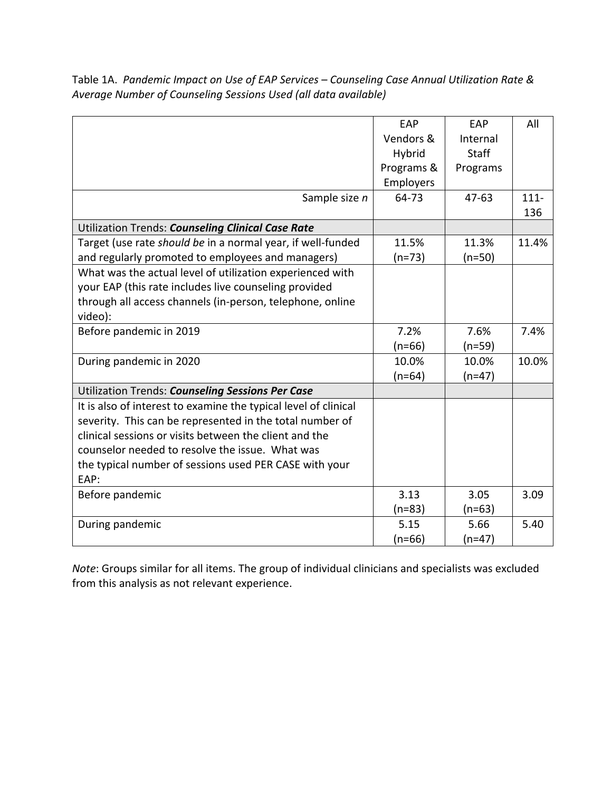Table 1A. *Pandemic Impact on Use of EAP Services – Counseling Case Annual Utilization Rate & Average Number of Counseling Sessions Used (all data available)*

|                                                                 | EAP        | EAP          | All     |
|-----------------------------------------------------------------|------------|--------------|---------|
|                                                                 | Vendors &  | Internal     |         |
|                                                                 | Hybrid     | <b>Staff</b> |         |
|                                                                 | Programs & | Programs     |         |
|                                                                 | Employers  |              |         |
| Sample size n                                                   | 64-73      | $47 - 63$    | $111 -$ |
|                                                                 |            |              | 136     |
| Utilization Trends: Counseling Clinical Case Rate               |            |              |         |
| Target (use rate should be in a normal year, if well-funded     | 11.5%      | 11.3%        | 11.4%   |
| and regularly promoted to employees and managers)               | $(n=73)$   | $(n=50)$     |         |
| What was the actual level of utilization experienced with       |            |              |         |
| your EAP (this rate includes live counseling provided           |            |              |         |
| through all access channels (in-person, telephone, online       |            |              |         |
| video):                                                         |            |              |         |
| Before pandemic in 2019                                         | 7.2%       | 7.6%         | 7.4%    |
|                                                                 | $(n=66)$   | (n=59)       |         |
| During pandemic in 2020                                         | 10.0%      | 10.0%        | 10.0%   |
|                                                                 | $(n=64)$   | $(n=47)$     |         |
| Utilization Trends: Counseling Sessions Per Case                |            |              |         |
| It is also of interest to examine the typical level of clinical |            |              |         |
| severity. This can be represented in the total number of        |            |              |         |
| clinical sessions or visits between the client and the          |            |              |         |
| counselor needed to resolve the issue. What was                 |            |              |         |
| the typical number of sessions used PER CASE with your          |            |              |         |
| EAP:                                                            |            |              |         |
| Before pandemic                                                 | 3.13       | 3.05         | 3.09    |
|                                                                 | $(n=83)$   | (n=63)       |         |
| During pandemic                                                 | 5.15       | 5.66         | 5.40    |
|                                                                 | $(n=66)$   | $(n=47)$     |         |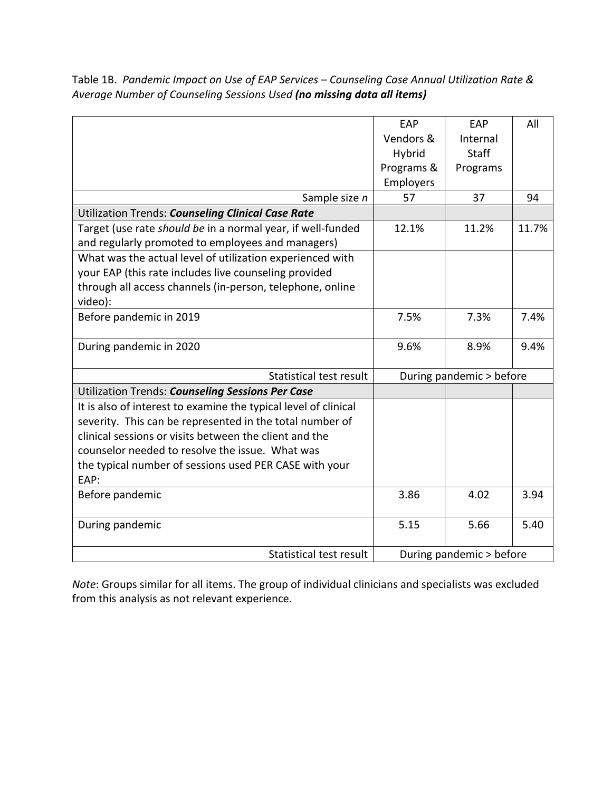Table 1B. *Pandemic Impact on Use of EAP Services – Counseling Case Annual Utilization Rate & Average Number of Counseling Sessions Used (no missing data all items)*

|                                                                 | EAP                      | EAP          | All   |
|-----------------------------------------------------------------|--------------------------|--------------|-------|
|                                                                 | Vendors &                | Internal     |       |
|                                                                 | Hybrid                   | <b>Staff</b> |       |
|                                                                 | Programs &               | Programs     |       |
|                                                                 | Employers                |              |       |
| Sample size n                                                   | 57                       | 37           | 94    |
| Utilization Trends: Counseling Clinical Case Rate               |                          |              |       |
| Target (use rate should be in a normal year, if well-funded     | 12.1%                    | 11.2%        | 11.7% |
| and regularly promoted to employees and managers)               |                          |              |       |
| What was the actual level of utilization experienced with       |                          |              |       |
| your EAP (this rate includes live counseling provided           |                          |              |       |
| through all access channels (in-person, telephone, online       |                          |              |       |
| video):                                                         |                          |              |       |
| Before pandemic in 2019                                         | 7.5%                     | 7.3%         | 7.4%  |
|                                                                 |                          |              |       |
| During pandemic in 2020                                         | 9.6%                     | 8.9%         | 9.4%  |
|                                                                 |                          |              |       |
| Statistical test result                                         | During pandemic > before |              |       |
| Utilization Trends: Counseling Sessions Per Case                |                          |              |       |
| It is also of interest to examine the typical level of clinical |                          |              |       |
| severity. This can be represented in the total number of        |                          |              |       |
| clinical sessions or visits between the client and the          |                          |              |       |
| counselor needed to resolve the issue. What was                 |                          |              |       |
| the typical number of sessions used PER CASE with your          |                          |              |       |
| EAP:                                                            |                          |              |       |
| Before pandemic                                                 | 3.86                     | 4.02         | 3.94  |
|                                                                 |                          |              |       |
| During pandemic                                                 | 5.15                     | 5.66         | 5.40  |
|                                                                 |                          |              |       |
| Statistical test result                                         | During pandemic > before |              |       |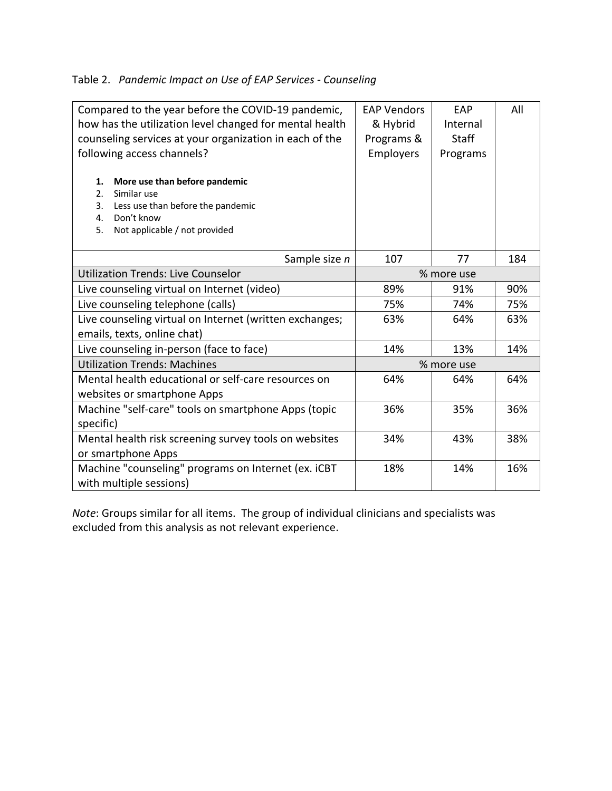## Table 2. *Pandemic Impact on Use of EAP Services - Counseling*

| Compared to the year before the COVID-19 pandemic,<br>how has the utilization level changed for mental health<br>counseling services at your organization in each of the<br>following access channels?<br>More use than before pandemic<br>1.<br>2.<br>Similar use<br>3.<br>Less use than before the pandemic<br>Don't know<br>4.<br>Not applicable / not provided<br>5. | <b>EAP Vendors</b><br>& Hybrid<br>Programs &<br>Employers | <b>EAP</b><br>Internal<br><b>Staff</b><br>Programs | All |
|--------------------------------------------------------------------------------------------------------------------------------------------------------------------------------------------------------------------------------------------------------------------------------------------------------------------------------------------------------------------------|-----------------------------------------------------------|----------------------------------------------------|-----|
| Sample size n                                                                                                                                                                                                                                                                                                                                                            | 107                                                       | 77                                                 | 184 |
| <b>Utilization Trends: Live Counselor</b>                                                                                                                                                                                                                                                                                                                                | % more use                                                |                                                    |     |
| Live counseling virtual on Internet (video)                                                                                                                                                                                                                                                                                                                              | 89%                                                       | 91%                                                | 90% |
| Live counseling telephone (calls)                                                                                                                                                                                                                                                                                                                                        | 75%<br>74%                                                |                                                    | 75% |
| Live counseling virtual on Internet (written exchanges;<br>emails, texts, online chat)                                                                                                                                                                                                                                                                                   | 63%<br>64%                                                |                                                    | 63% |
| Live counseling in-person (face to face)                                                                                                                                                                                                                                                                                                                                 | 14%<br>13%                                                |                                                    | 14% |
| <b>Utilization Trends: Machines</b>                                                                                                                                                                                                                                                                                                                                      | % more use                                                |                                                    |     |
| Mental health educational or self-care resources on<br>websites or smartphone Apps                                                                                                                                                                                                                                                                                       | 64%                                                       | 64%                                                | 64% |
| Machine "self-care" tools on smartphone Apps (topic<br>specific)                                                                                                                                                                                                                                                                                                         | 36%                                                       | 35%                                                | 36% |
| Mental health risk screening survey tools on websites<br>or smartphone Apps                                                                                                                                                                                                                                                                                              | 34%                                                       | 43%                                                | 38% |
| Machine "counseling" programs on Internet (ex. iCBT<br>with multiple sessions)                                                                                                                                                                                                                                                                                           | 18%                                                       | 14%                                                | 16% |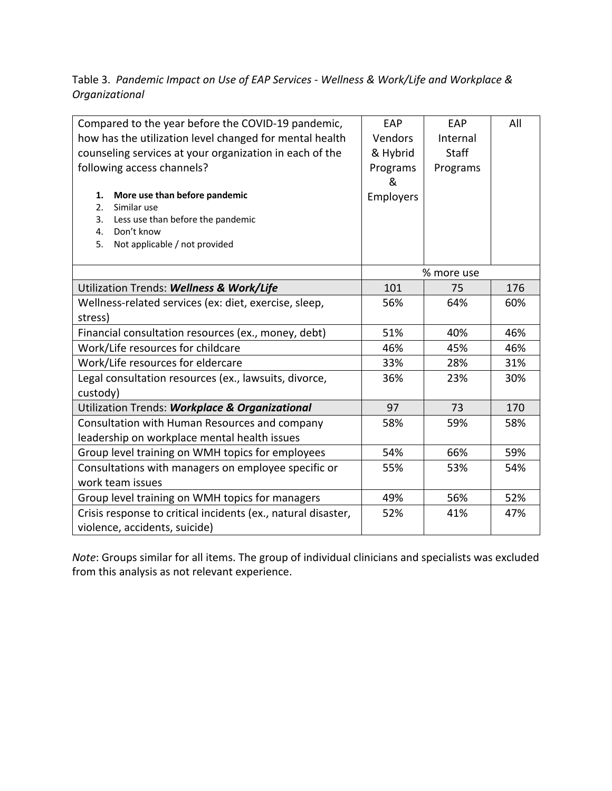## Table 3. *Pandemic Impact on Use of EAP Services - Wellness & Work/Life and Workplace & Organizational*

| Compared to the year before the COVID-19 pandemic,            | EAP        | EAP          | All |
|---------------------------------------------------------------|------------|--------------|-----|
| how has the utilization level changed for mental health       | Vendors    | Internal     |     |
| counseling services at your organization in each of the       | & Hybrid   | <b>Staff</b> |     |
| following access channels?                                    | Programs   | Programs     |     |
|                                                               | &          |              |     |
| More use than before pandemic<br>1.                           | Employers  |              |     |
| Similar use<br>2.                                             |            |              |     |
| Less use than before the pandemic<br>3.                       |            |              |     |
| Don't know<br>4.                                              |            |              |     |
| Not applicable / not provided<br>5.                           |            |              |     |
|                                                               |            |              |     |
|                                                               |            | % more use   |     |
| Utilization Trends: Wellness & Work/Life                      | 101        | 75           | 176 |
| Wellness-related services (ex: diet, exercise, sleep,         | 56%        | 64%          | 60% |
| stress)                                                       |            |              |     |
| Financial consultation resources (ex., money, debt)           | 51%<br>40% |              | 46% |
| Work/Life resources for childcare                             | 46%<br>45% |              | 46% |
| Work/Life resources for eldercare                             | 33%        | 28%          | 31% |
| Legal consultation resources (ex., lawsuits, divorce,         | 36%        | 23%          | 30% |
| custody)                                                      |            |              |     |
| Utilization Trends: Workplace & Organizational                | 97         | 73           | 170 |
| Consultation with Human Resources and company                 | 58%        | 59%          | 58% |
| leadership on workplace mental health issues                  |            |              |     |
| Group level training on WMH topics for employees              | 54%        | 66%          | 59% |
| Consultations with managers on employee specific or           | 55%        | 53%          | 54% |
| work team issues                                              |            |              |     |
| Group level training on WMH topics for managers               | 49%        | 56%          | 52% |
| Crisis response to critical incidents (ex., natural disaster, | 52%        | 41%          | 47% |
| violence, accidents, suicide)                                 |            |              |     |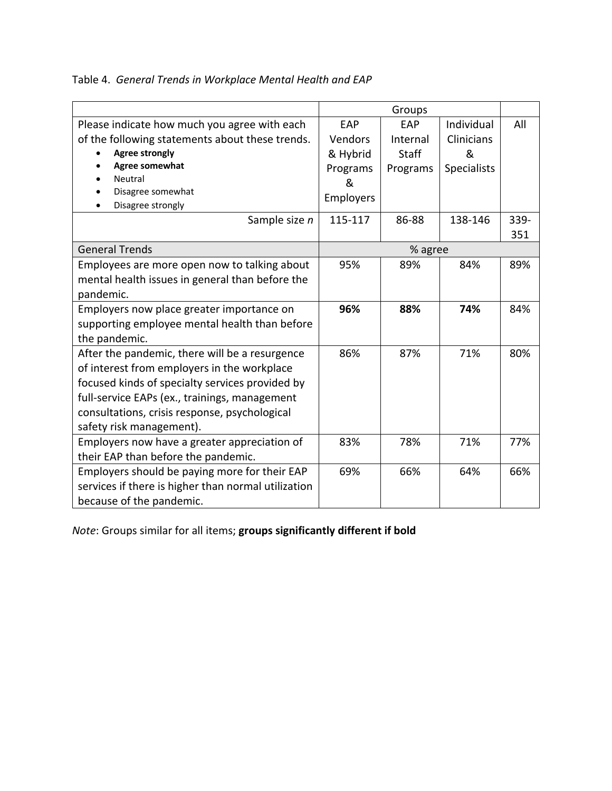|                                                     | Groups    |              |                    |      |
|-----------------------------------------------------|-----------|--------------|--------------------|------|
| Please indicate how much you agree with each        | EAP       | EAP          | Individual         | All  |
| of the following statements about these trends.     | Vendors   | Internal     | <b>Clinicians</b>  |      |
| <b>Agree strongly</b>                               | & Hybrid  | <b>Staff</b> | &                  |      |
| Agree somewhat                                      | Programs  | Programs     | <b>Specialists</b> |      |
| Neutral                                             | &         |              |                    |      |
| Disagree somewhat                                   | Employers |              |                    |      |
| Disagree strongly                                   |           |              |                    |      |
| Sample size n                                       | 115-117   | 86-88        | 138-146            | 339- |
|                                                     |           |              |                    | 351  |
| <b>General Trends</b>                               |           | % agree      |                    |      |
| Employees are more open now to talking about        | 95%       | 89%          | 84%                | 89%  |
| mental health issues in general than before the     |           |              |                    |      |
| pandemic.                                           |           |              |                    |      |
| Employers now place greater importance on           | 96%       | 88%          | 74%                | 84%  |
| supporting employee mental health than before       |           |              |                    |      |
| the pandemic.                                       |           |              |                    |      |
| After the pandemic, there will be a resurgence      | 86%       | 87%          | 71%                | 80%  |
| of interest from employers in the workplace         |           |              |                    |      |
| focused kinds of specialty services provided by     |           |              |                    |      |
| full-service EAPs (ex., trainings, management       |           |              |                    |      |
| consultations, crisis response, psychological       |           |              |                    |      |
| safety risk management).                            |           |              |                    |      |
| Employers now have a greater appreciation of        | 83%       | 78%          | 71%                | 77%  |
| their EAP than before the pandemic.                 |           |              |                    |      |
| Employers should be paying more for their EAP       | 69%       | 66%          | 64%                | 66%  |
| services if there is higher than normal utilization |           |              |                    |      |
| because of the pandemic.                            |           |              |                    |      |

Table 4. *General Trends in Workplace Mental Health and EAP*

*Note*: Groups similar for all items; **groups significantly different if bold**